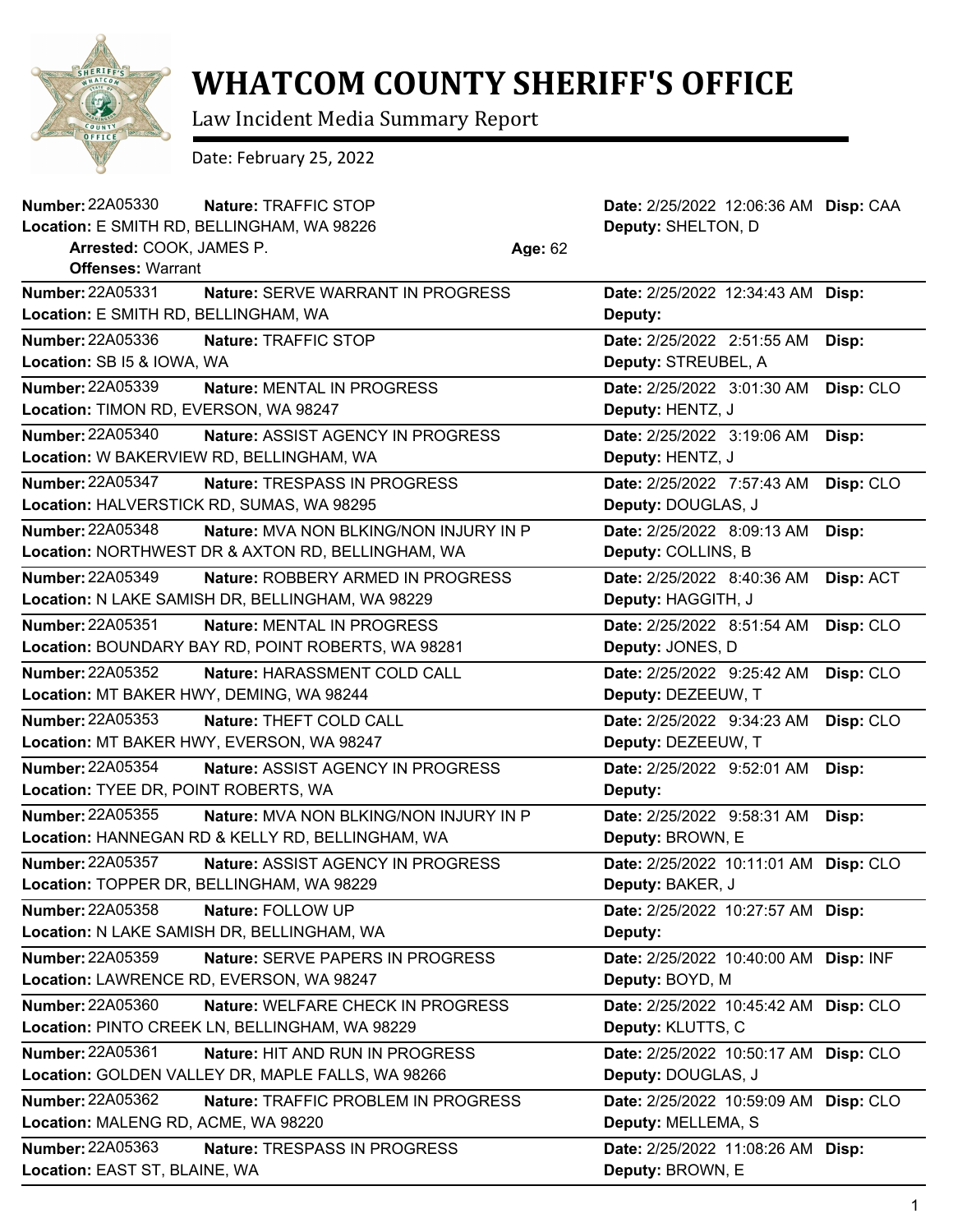

## **WHATCOM COUNTY SHERIFF'S OFFICE**

Law Incident Media Summary Report

Date: February 25, 2022

| <b>Number: 22A05330</b>                  | Nature: TRAFFIC STOP                               |         | Date: 2/25/2022 12:06:36 AM Disp: CAA |           |
|------------------------------------------|----------------------------------------------------|---------|---------------------------------------|-----------|
|                                          | Location: E SMITH RD, BELLINGHAM, WA 98226         |         | Deputy: SHELTON, D                    |           |
| Arrested: COOK, JAMES P.                 |                                                    | Age: 62 |                                       |           |
| <b>Offenses: Warrant</b>                 |                                                    |         |                                       |           |
| <b>Number: 22A05331</b>                  | Nature: SERVE WARRANT IN PROGRESS                  |         | Date: 2/25/2022 12:34:43 AM Disp:     |           |
| Location: E SMITH RD, BELLINGHAM, WA     |                                                    |         | Deputy:                               |           |
| Number: 22A05336                         | Nature: TRAFFIC STOP                               |         | Date: 2/25/2022 2:51:55 AM            | Disp:     |
| Location: SB I5 & IOWA, WA               |                                                    |         | Deputy: STREUBEL, A                   |           |
| <b>Number: 22A05339</b>                  | Nature: MENTAL IN PROGRESS                         |         | Date: 2/25/2022 3:01:30 AM            | Disp: CLO |
| Location: TIMON RD, EVERSON, WA 98247    |                                                    |         | Deputy: HENTZ, J                      |           |
| Number: 22A05340                         | Nature: ASSIST AGENCY IN PROGRESS                  |         | Date: 2/25/2022 3:19:06 AM            | Disp:     |
|                                          | Location: W BAKERVIEW RD, BELLINGHAM, WA           |         | Deputy: HENTZ, J                      |           |
| <b>Number: 22A05347</b>                  | Nature: TRESPASS IN PROGRESS                       |         | Date: 2/25/2022 7:57:43 AM            | Disp: CLO |
|                                          | Location: HALVERSTICK RD, SUMAS, WA 98295          |         | Deputy: DOUGLAS, J                    |           |
| <b>Number: 22A05348</b>                  | Nature: MVA NON BLKING/NON INJURY IN P             |         | Date: 2/25/2022 8:09:13 AM            | Disp:     |
|                                          | Location: NORTHWEST DR & AXTON RD, BELLINGHAM, WA  |         | Deputy: COLLINS, B                    |           |
| Number: 22A05349                         | Nature: ROBBERY ARMED IN PROGRESS                  |         | Date: 2/25/2022 8:40:36 AM            | Disp: ACT |
|                                          | Location: N LAKE SAMISH DR, BELLINGHAM, WA 98229   |         | Deputy: HAGGITH, J                    |           |
| <b>Number: 22A05351</b>                  | Nature: MENTAL IN PROGRESS                         |         | Date: 2/25/2022 8:51:54 AM            | Disp: CLO |
|                                          | Location: BOUNDARY BAY RD, POINT ROBERTS, WA 98281 |         | Deputy: JONES, D                      |           |
| Number: 22A05352                         | Nature: HARASSMENT COLD CALL                       |         | Date: 2/25/2022 9:25:42 AM            | Disp: CLO |
| Location: MT BAKER HWY, DEMING, WA 98244 |                                                    |         | Deputy: DEZEEUW, T                    |           |
| Number: 22A05353                         | Nature: THEFT COLD CALL                            |         | Date: 2/25/2022 9:34:23 AM            | Disp: CLO |
|                                          | Location: MT BAKER HWY, EVERSON, WA 98247          |         | Deputy: DEZEEUW, T                    |           |
| <b>Number: 22A05354</b>                  | Nature: ASSIST AGENCY IN PROGRESS                  |         | Date: 2/25/2022 9:52:01 AM            | Disp:     |
| Location: TYEE DR, POINT ROBERTS, WA     |                                                    |         | Deputy:                               |           |
| Number: 22A05355                         | Nature: MVA NON BLKING/NON INJURY IN P             |         | Date: 2/25/2022 9:58:31 AM            | Disp:     |
|                                          | Location: HANNEGAN RD & KELLY RD, BELLINGHAM, WA   |         | Deputy: BROWN, E                      |           |
| <b>Number: 22A05357</b>                  | <b>Nature: ASSIST AGENCY IN PROGRESS</b>           |         | Date: 2/25/2022 10:11:01 AM           | Disp: CLO |
|                                          | Location: TOPPER DR, BELLINGHAM, WA 98229          |         | Deputy: BAKER, J                      |           |
| Number: 22A05358                         | Nature: FOLLOW UP                                  |         | Date: 2/25/2022 10:27:57 AM Disp:     |           |
|                                          | Location: N LAKE SAMISH DR, BELLINGHAM, WA         |         | Deputy:                               |           |
| Number: 22A05359                         | Nature: SERVE PAPERS IN PROGRESS                   |         | Date: 2/25/2022 10:40:00 AM Disp: INF |           |
|                                          | Location: LAWRENCE RD, EVERSON, WA 98247           |         | Deputy: BOYD, M                       |           |
| <b>Number: 22A05360</b>                  | Nature: WELFARE CHECK IN PROGRESS                  |         | Date: 2/25/2022 10:45:42 AM Disp: CLO |           |
|                                          | Location: PINTO CREEK LN, BELLINGHAM, WA 98229     |         | Deputy: KLUTTS, C                     |           |
| Number: 22A05361                         | Nature: HIT AND RUN IN PROGRESS                    |         | Date: 2/25/2022 10:50:17 AM Disp: CLO |           |
|                                          | Location: GOLDEN VALLEY DR, MAPLE FALLS, WA 98266  |         | Deputy: DOUGLAS, J                    |           |
| Number: 22A05362                         | Nature: TRAFFIC PROBLEM IN PROGRESS                |         | Date: 2/25/2022 10:59:09 AM           | Disp: CLO |
| Location: MALENG RD, ACME, WA 98220      |                                                    |         | Deputy: MELLEMA, S                    |           |
| Number: 22A05363                         | Nature: TRESPASS IN PROGRESS                       |         | Date: 2/25/2022 11:08:26 AM Disp:     |           |
| Location: EAST ST, BLAINE, WA            |                                                    |         | Deputy: BROWN, E                      |           |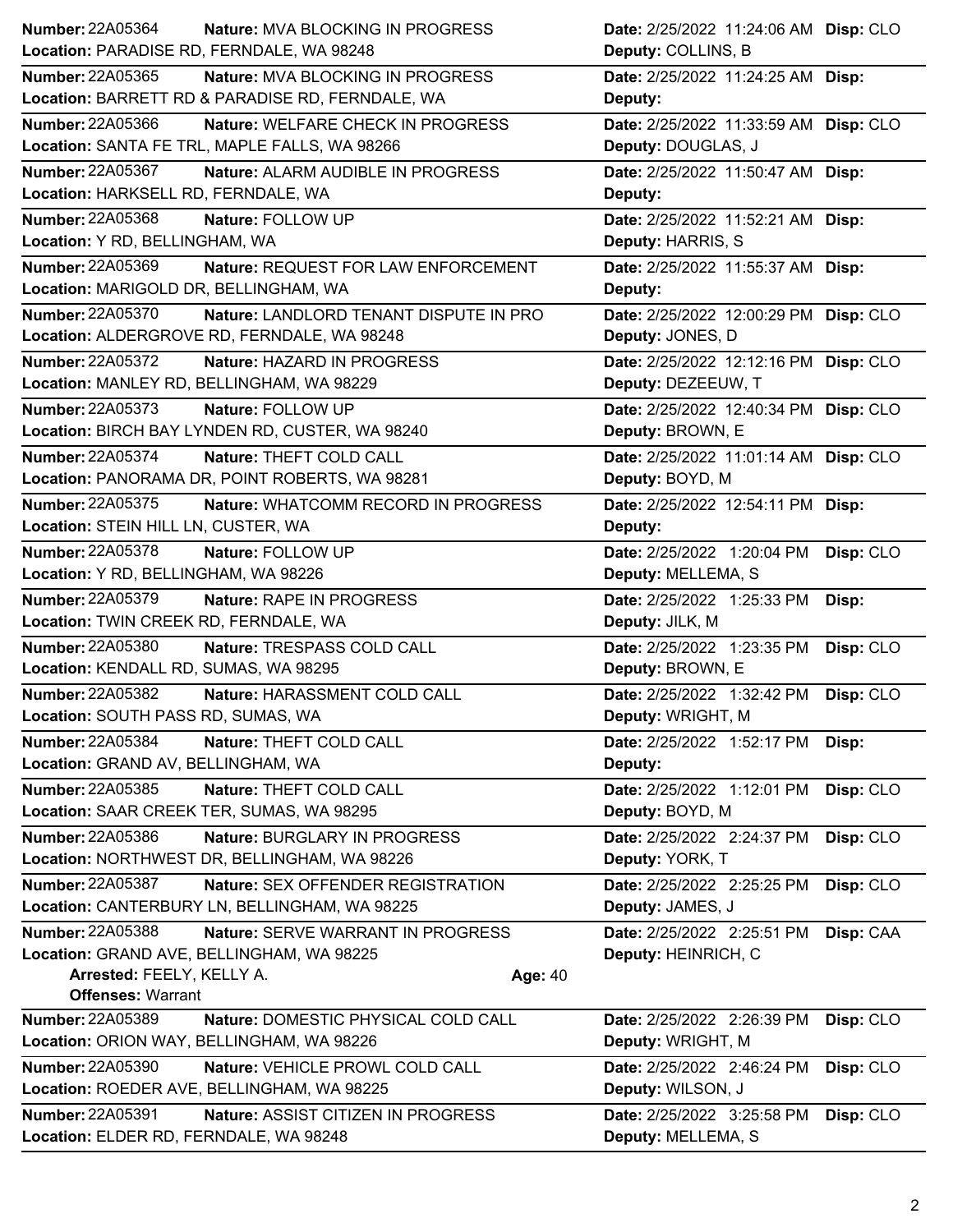| <b>Number: 22A05364</b>                   | <b>Nature: MVA BLOCKING IN PROGRESS</b>          |                | Date: 2/25/2022 11:24:06 AM Disp: CLO |           |
|-------------------------------------------|--------------------------------------------------|----------------|---------------------------------------|-----------|
| Location: PARADISE RD, FERNDALE, WA 98248 |                                                  |                | Deputy: COLLINS, B                    |           |
| Number: 22A05365                          | <b>Nature: MVA BLOCKING IN PROGRESS</b>          |                | Date: 2/25/2022 11:24:25 AM Disp:     |           |
|                                           | Location: BARRETT RD & PARADISE RD, FERNDALE, WA |                | Deputy:                               |           |
| Number: 22A05366                          | Nature: WELFARE CHECK IN PROGRESS                |                | Date: 2/25/2022 11:33:59 AM Disp: CLO |           |
|                                           | Location: SANTA FE TRL, MAPLE FALLS, WA 98266    |                | Deputy: DOUGLAS, J                    |           |
| Number: 22A05367                          | Nature: ALARM AUDIBLE IN PROGRESS                |                | Date: 2/25/2022 11:50:47 AM Disp:     |           |
| Location: HARKSELL RD, FERNDALE, WA       |                                                  |                | Deputy:                               |           |
| <b>Number: 22A05368</b>                   | Nature: FOLLOW UP                                |                | Date: 2/25/2022 11:52:21 AM Disp:     |           |
| Location: Y RD, BELLINGHAM, WA            |                                                  |                | Deputy: HARRIS, S                     |           |
| <b>Number: 22A05369</b>                   | Nature: REQUEST FOR LAW ENFORCEMENT              |                | Date: 2/25/2022 11:55:37 AM Disp:     |           |
| Location: MARIGOLD DR, BELLINGHAM, WA     |                                                  |                | Deputy:                               |           |
| Number: 22A05370                          | Nature: LANDLORD TENANT DISPUTE IN PRO           |                | Date: 2/25/2022 12:00:29 PM Disp: CLO |           |
|                                           | Location: ALDERGROVE RD, FERNDALE, WA 98248      |                | Deputy: JONES, D                      |           |
| <b>Number: 22A05372</b>                   | Nature: HAZARD IN PROGRESS                       |                | Date: 2/25/2022 12:12:16 PM Disp: CLO |           |
| Location: MANLEY RD, BELLINGHAM, WA 98229 |                                                  |                | Deputy: DEZEEUW, T                    |           |
| <b>Number: 22A05373</b>                   | Nature: FOLLOW UP                                |                | Date: 2/25/2022 12:40:34 PM Disp: CLO |           |
|                                           | Location: BIRCH BAY LYNDEN RD, CUSTER, WA 98240  |                | Deputy: BROWN, E                      |           |
| Number: 22A05374                          | Nature: THEFT COLD CALL                          |                | Date: 2/25/2022 11:01:14 AM Disp: CLO |           |
|                                           | Location: PANORAMA DR, POINT ROBERTS, WA 98281   |                | Deputy: BOYD, M                       |           |
| <b>Number: 22A05375</b>                   | Nature: WHATCOMM RECORD IN PROGRESS              |                | Date: 2/25/2022 12:54:11 PM Disp:     |           |
| Location: STEIN HILL LN, CUSTER, WA       |                                                  |                | Deputy:                               |           |
| Number: 22A05378                          | Nature: FOLLOW UP                                |                | Date: 2/25/2022 1:20:04 PM            | Disp: CLO |
| Location: Y RD, BELLINGHAM, WA 98226      |                                                  |                | Deputy: MELLEMA, S                    |           |
| Number: 22A05379                          | Nature: RAPE IN PROGRESS                         |                | Date: 2/25/2022 1:25:33 PM            | Disp:     |
| Location: TWIN CREEK RD, FERNDALE, WA     |                                                  |                | Deputy: JILK, M                       |           |
| Number: 22A05380                          | Nature: TRESPASS COLD CALL                       |                | Date: 2/25/2022 1:23:35 PM            | Disp: CLO |
| Location: KENDALL RD, SUMAS, WA 98295     |                                                  |                | Deputy: BROWN, E                      |           |
| <b>Number: 22A05382</b>                   | Nature: HARASSMENT COLD CALL                     |                | Date: 2/25/2022 1:32:42 PM            | Disp: CLO |
| Location: SOUTH PASS RD, SUMAS, WA        |                                                  |                | Deputy: WRIGHT, M                     |           |
| <b>Number: 22A05384</b>                   | Nature: THEFT COLD CALL                          |                | Date: 2/25/2022 1:52:17 PM            | Disp:     |
| Location: GRAND AV, BELLINGHAM, WA        |                                                  |                | Deputy:                               |           |
| Number: 22A05385                          | Nature: THEFT COLD CALL                          |                | Date: 2/25/2022 1:12:01 PM            | Disp: CLO |
| Location: SAAR CREEK TER, SUMAS, WA 98295 |                                                  |                | Deputy: BOYD, M                       |           |
| Number: 22A05386                          | Nature: BURGLARY IN PROGRESS                     |                | Date: 2/25/2022 2:24:37 PM            | Disp: CLO |
|                                           | Location: NORTHWEST DR, BELLINGHAM, WA 98226     |                | Deputy: YORK, T                       |           |
| <b>Number: 22A05387</b>                   | Nature: SEX OFFENDER REGISTRATION                |                | Date: 2/25/2022 2:25:25 PM            | Disp: CLO |
|                                           | Location: CANTERBURY LN, BELLINGHAM, WA 98225    |                | Deputy: JAMES, J                      |           |
| Number: 22A05388                          | Nature: SERVE WARRANT IN PROGRESS                |                | Date: 2/25/2022 2:25:51 PM            | Disp: CAA |
| Location: GRAND AVE, BELLINGHAM, WA 98225 |                                                  |                | Deputy: HEINRICH, C                   |           |
| Arrested: FEELY, KELLY A.                 |                                                  | <b>Age: 40</b> |                                       |           |
| <b>Offenses: Warrant</b>                  |                                                  |                |                                       |           |
| Number: 22A05389                          | Nature: DOMESTIC PHYSICAL COLD CALL              |                | Date: 2/25/2022 2:26:39 PM            | Disp: CLO |
| Location: ORION WAY, BELLINGHAM, WA 98226 |                                                  |                | Deputy: WRIGHT, M                     |           |
| <b>Number: 22A05390</b>                   | Nature: VEHICLE PROWL COLD CALL                  |                | Date: 2/25/2022 2:46:24 PM            | Disp: CLO |
|                                           | Location: ROEDER AVE, BELLINGHAM, WA 98225       |                | Deputy: WILSON, J                     |           |
| <b>Number: 22A05391</b>                   | Nature: ASSIST CITIZEN IN PROGRESS               |                | Date: 2/25/2022 3:25:58 PM            | Disp: CLO |
| Location: ELDER RD, FERNDALE, WA 98248    |                                                  |                | Deputy: MELLEMA, S                    |           |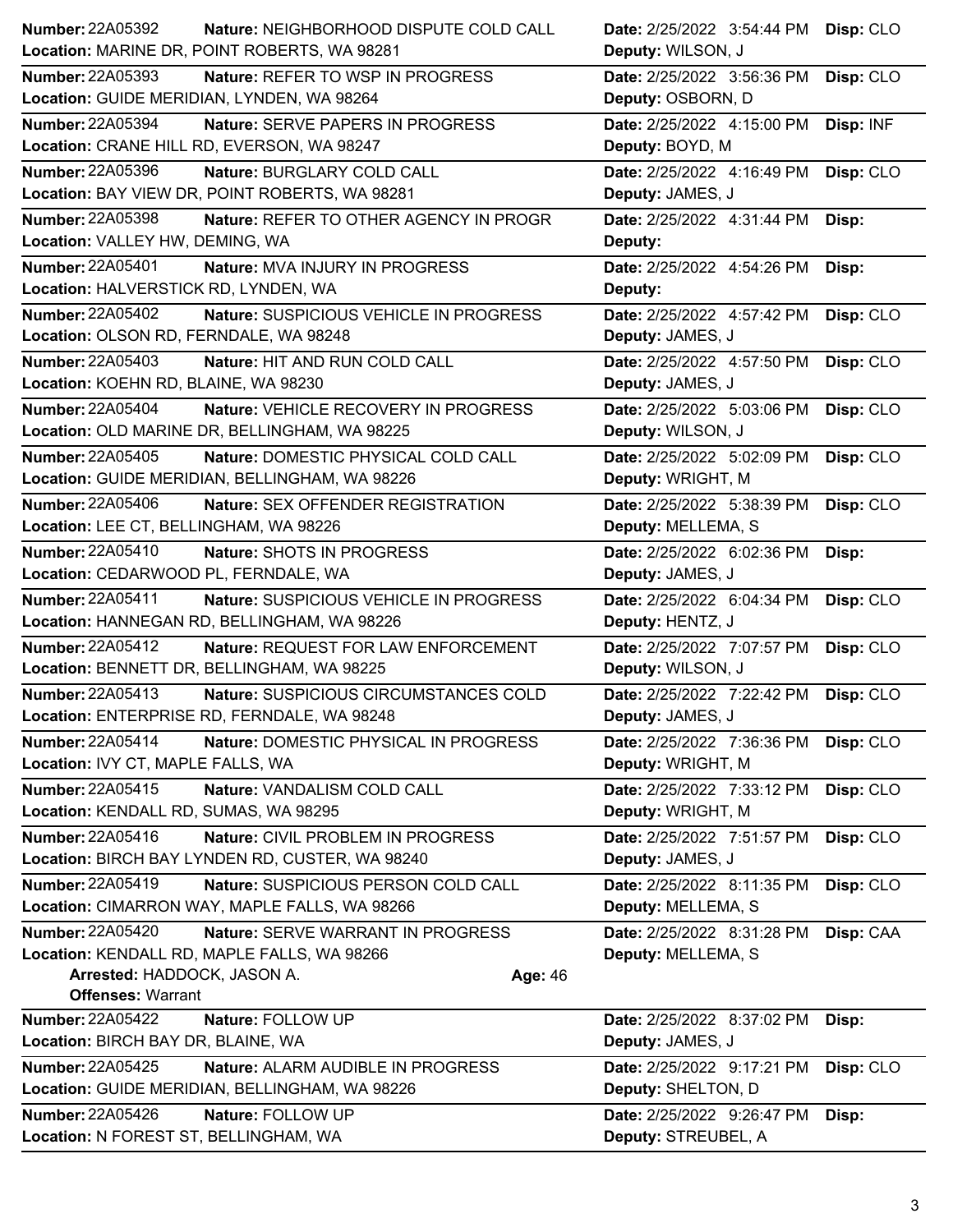| Number: 22A05392<br>Nature: NEIGHBORHOOD DISPUTE COLD CALL        | Date: 2/25/2022 3:54:44 PM<br>Disp: CLO |
|-------------------------------------------------------------------|-----------------------------------------|
| Location: MARINE DR, POINT ROBERTS, WA 98281                      | Deputy: WILSON, J                       |
| Number: 22A05393<br><b>Nature: REFER TO WSP IN PROGRESS</b>       | Disp: CLO<br>Date: 2/25/2022 3:56:36 PM |
| Location: GUIDE MERIDIAN, LYNDEN, WA 98264                        | Deputy: OSBORN, D                       |
| <b>Number: 22A05394</b><br>Nature: SERVE PAPERS IN PROGRESS       | Date: 2/25/2022 4:15:00 PM<br>Disp: INF |
| Location: CRANE HILL RD, EVERSON, WA 98247                        | Deputy: BOYD, M                         |
| <b>Number: 22A05396</b><br>Nature: BURGLARY COLD CALL             | Date: 2/25/2022 4:16:49 PM<br>Disp: CLO |
| Location: BAY VIEW DR, POINT ROBERTS, WA 98281                    | Deputy: JAMES, J                        |
| <b>Number: 22A05398</b><br>Nature: REFER TO OTHER AGENCY IN PROGR | Date: 2/25/2022 4:31:44 PM<br>Disp:     |
| Location: VALLEY HW, DEMING, WA                                   | Deputy:                                 |
| <b>Number: 22A05401</b><br>Nature: MVA INJURY IN PROGRESS         | Date: 2/25/2022 4:54:26 PM<br>Disp:     |
| Location: HALVERSTICK RD, LYNDEN, WA                              | Deputy:                                 |
| <b>Number: 22A05402</b><br>Nature: SUSPICIOUS VEHICLE IN PROGRESS | Date: 2/25/2022 4:57:42 PM<br>Disp: CLO |
| Location: OLSON RD, FERNDALE, WA 98248                            | Deputy: JAMES, J                        |
| <b>Number: 22A05403</b><br>Nature: HIT AND RUN COLD CALL          | Date: 2/25/2022 4:57:50 PM<br>Disp: CLO |
| Location: KOEHN RD, BLAINE, WA 98230                              | Deputy: JAMES, J                        |
| Number: 22A05404<br>Nature: VEHICLE RECOVERY IN PROGRESS          | Date: 2/25/2022 5:03:06 PM<br>Disp: CLO |
| Location: OLD MARINE DR, BELLINGHAM, WA 98225                     | Deputy: WILSON, J                       |
| Number: 22A05405<br>Nature: DOMESTIC PHYSICAL COLD CALL           | Date: 2/25/2022 5:02:09 PM<br>Disp: CLO |
| Location: GUIDE MERIDIAN, BELLINGHAM, WA 98226                    | Deputy: WRIGHT, M                       |
| <b>Number: 22A05406</b><br>Nature: SEX OFFENDER REGISTRATION      | Date: 2/25/2022 5:38:39 PM<br>Disp: CLO |
| Location: LEE CT, BELLINGHAM, WA 98226                            | Deputy: MELLEMA, S                      |
| Number: 22A05410<br>Nature: SHOTS IN PROGRESS                     | Date: 2/25/2022 6:02:36 PM<br>Disp:     |
| Location: CEDARWOOD PL, FERNDALE, WA                              | Deputy: JAMES, J                        |
| <b>Number: 22A05411</b><br>Nature: SUSPICIOUS VEHICLE IN PROGRESS | Date: 2/25/2022 6:04:34 PM<br>Disp: CLO |
| Location: HANNEGAN RD, BELLINGHAM, WA 98226                       | Deputy: HENTZ, J                        |
| <b>Number: 22A05412</b><br>Nature: REQUEST FOR LAW ENFORCEMENT    | Disp: CLO<br>Date: 2/25/2022 7:07:57 PM |
| Location: BENNETT DR, BELLINGHAM, WA 98225                        | Deputy: WILSON, J                       |
| <b>Number: 22A05413</b><br>Nature: SUSPICIOUS CIRCUMSTANCES COLD  | Date: 2/25/2022 7:22:42 PM<br>Disp: CLO |
| Location: ENTERPRISE RD, FERNDALE, WA 98248                       | Deputy: JAMES, J                        |
| Number: 22A05414<br>Nature: DOMESTIC PHYSICAL IN PROGRESS         | Date: 2/25/2022 7:36:36 PM<br>Disp: CLO |
| Location: IVY CT, MAPLE FALLS, WA                                 | Deputy: WRIGHT, M                       |
| Number: 22A05415<br>Nature: VANDALISM COLD CALL                   | Date: 2/25/2022 7:33:12 PM<br>Disp: CLO |
| Location: KENDALL RD, SUMAS, WA 98295                             | Deputy: WRIGHT, M                       |
| Number: 22A05416<br>Nature: CIVIL PROBLEM IN PROGRESS             | Date: 2/25/2022 7:51:57 PM<br>Disp: CLO |
| Location: BIRCH BAY LYNDEN RD, CUSTER, WA 98240                   | Deputy: JAMES, J                        |
| Number: 22A05419<br>Nature: SUSPICIOUS PERSON COLD CALL           | Date: 2/25/2022 8:11:35 PM<br>Disp: CLO |
| Location: CIMARRON WAY, MAPLE FALLS, WA 98266                     | Deputy: MELLEMA, S                      |
| <b>Number: 22A05420</b><br>Nature: SERVE WARRANT IN PROGRESS      | Date: 2/25/2022 8:31:28 PM<br>Disp: CAA |
| Location: KENDALL RD, MAPLE FALLS, WA 98266                       | Deputy: MELLEMA, S                      |
| Arrested: HADDOCK, JASON A.<br>Age: 46                            |                                         |
| <b>Offenses: Warrant</b>                                          |                                         |
| <b>Number: 22A05422</b><br>Nature: FOLLOW UP                      | Date: 2/25/2022 8:37:02 PM<br>Disp:     |
| Location: BIRCH BAY DR, BLAINE, WA                                | Deputy: JAMES, J                        |
| <b>Number: 22A05425</b><br>Nature: ALARM AUDIBLE IN PROGRESS      | Disp: CLO<br>Date: 2/25/2022 9:17:21 PM |
| Location: GUIDE MERIDIAN, BELLINGHAM, WA 98226                    | Deputy: SHELTON, D                      |
| <b>Number: 22A05426</b><br>Nature: FOLLOW UP                      | Date: 2/25/2022 9:26:47 PM<br>Disp:     |
| Location: N FOREST ST, BELLINGHAM, WA                             | Deputy: STREUBEL, A                     |